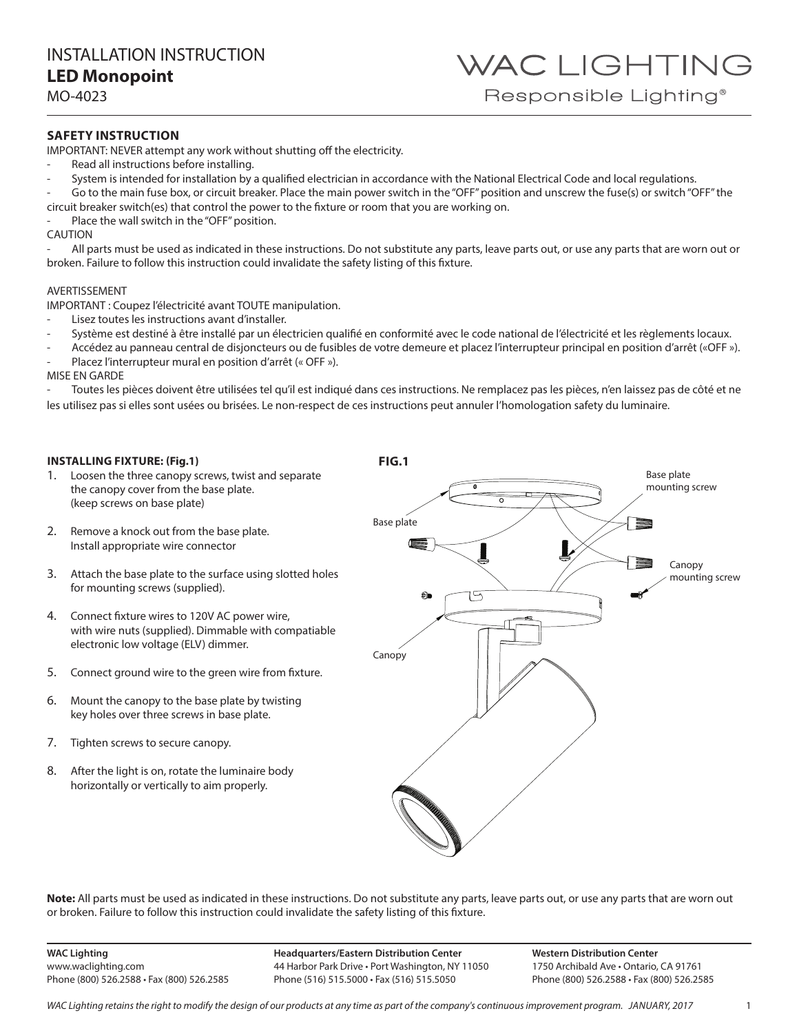WAC LIGHTING Responsible Lighting<sup>®</sup>

MO-4023

### **SAFETY INSTRUCTION**

IMPORTANT: NEVER attempt any work without shutting off the electricity.

- Read all instructions before installing.
- System is intended for installation by a qualified electrician in accordance with the National Electrical Code and local regulations.
- Go to the main fuse box, or circuit breaker. Place the main power switch in the "OFF" position and unscrew the fuse(s) or switch "OFF" the
- circuit breaker switch(es) that control the power to the fixture or room that you are working on.
- Place the wall switch in the "OFF" position.

CAUTION

All parts must be used as indicated in these instructions. Do not substitute any parts, leave parts out, or use any parts that are worn out or broken. Failure to follow this instruction could invalidate the safety listing of this fixture.

#### AVERTISSEMENT

IMPORTANT : Coupez l'électricité avant TOUTE manipulation.

- Lisez toutes les instructions avant d'installer.
- Système est destiné à être installé par un électricien qualifié en conformité avec le code national de l'électricité et les règlements locaux.
- Accédez au panneau central de disjoncteurs ou de fusibles de votre demeure et placez l'interrupteur principal en position d'arrêt («OFF »).

Placez l'interrupteur mural en position d'arrêt (« OFF »).

MISE EN GARDE

Toutes les pièces doivent être utilisées tel qu'il est indiqué dans ces instructions. Ne remplacez pas les pièces, n'en laissez pas de côté et ne les utilisez pas si elles sont usées ou brisées. Le non-respect de ces instructions peut annuler l'homologation safety du luminaire.

### **INSTALLING FIXTURE: (Fig.1)**

- 1. Loosen the three canopy screws, twist and separate the canopy cover from the base plate. (keep screws on base plate)
- 2. Remove a knock out from the base plate. Install appropriate wire connector
- 3. Attach the base plate to the surface using slotted holes for mounting screws (supplied).
- 4. Connect fixture wires to 120V AC power wire, with wire nuts (supplied). Dimmable with compatiable electronic low voltage (ELV) dimmer.
- 5. Connect ground wire to the green wire from fixture.
- 6. Mount the canopy to the base plate by twisting key holes over three screws in base plate.
- 7. Tighten screws to secure canopy.
- 8. After the light is on, rotate the luminaire body horizontally or vertically to aim properly.



Note: All parts must be used as indicated in these instructions. Do not substitute any parts, leave parts out, or use any parts that are worn out or broken. Failure to follow this instruction could invalidate the safety listing of this fixture.

**WAC Lighting** www.waclighting.com Phone (800) 526.2588 • Fax (800) 526.2585 **Headquarters/Eastern Distribution Center** 44 Harbor Park Drive • Port Washington, NY 11050 Phone (516) 515.5000 • Fax (516) 515.5050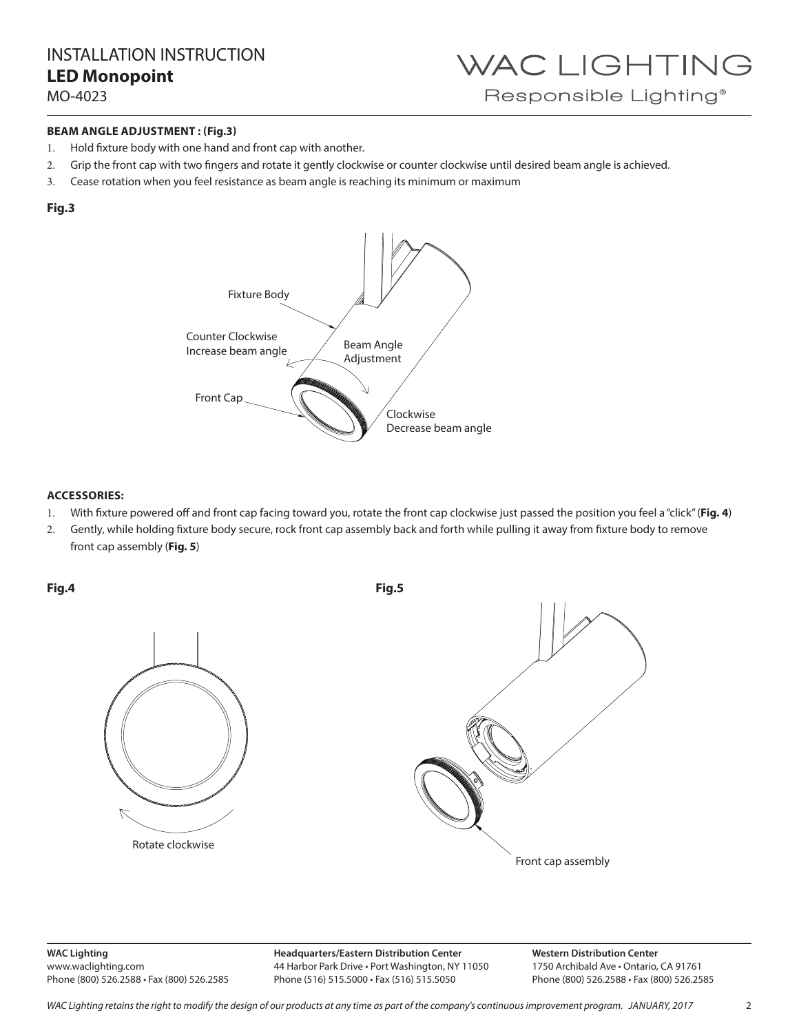INSTALLATION INSTRUCTION **LED Monopoint** 

MO-4023

### **BEAM ANGLE ADJUSTMENT : (Fig.3)**

- 1. Hold fixture body with one hand and front cap with another.
- 2. Grip the front cap with two fingers and rotate it gently clockwise or counter clockwise until desired beam angle is achieved.
- 3. Cease rotation when you feel resistance as beam angle is reaching its minimum or maximum

### **Fig.3**



### **ACCESSORIES:**

- 1. With fixture powered off and front cap facing toward you, rotate the front cap clockwise just passed the position you feel a "click" (**Fig. 4**)
- 2. Gently, while holding fixture body secure, rock front cap assembly back and forth while pulling it away from fixture body to remove front cap assembly (**Fig. 5**)

**Fig.4**







**WAC Lighting** www.waclighting.com Phone (800) 526.2588 • Fax (800) 526.2585

**Headquarters/Eastern Distribution Center** 44 Harbor Park Drive • Port Washington, NY 11050 Phone (516) 515.5000 • Fax (516) 515.5050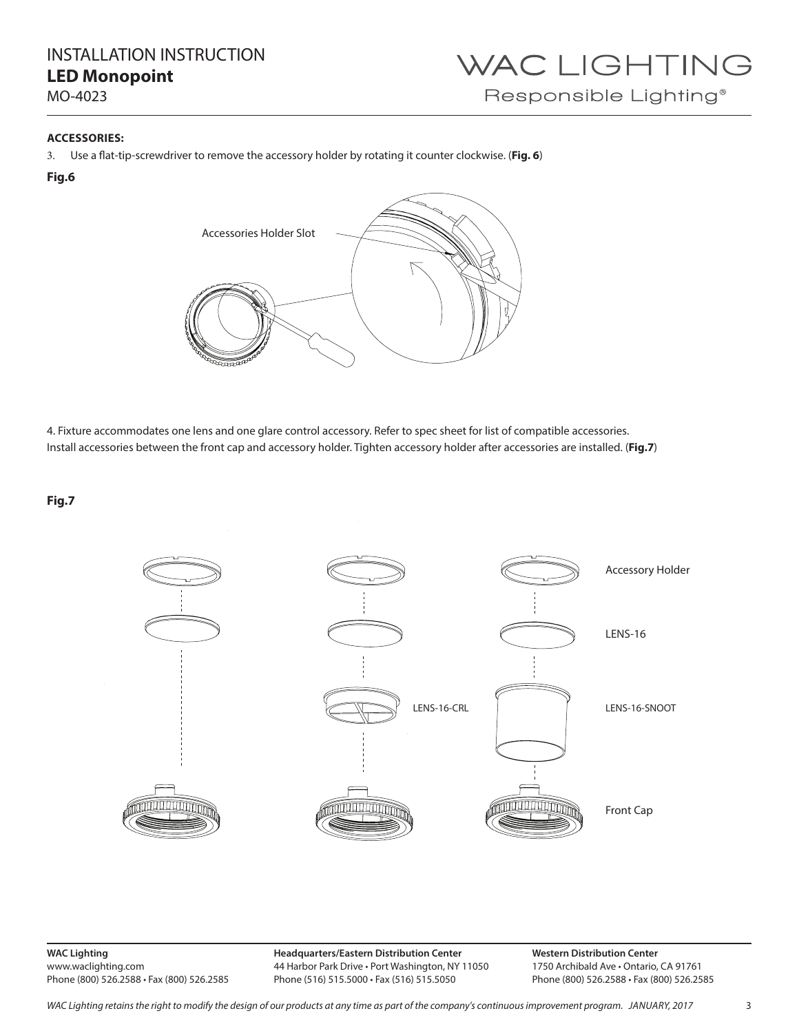## INSTALLATION INSTRUCTION **LED Monopoint**

MO-4023

# WAC LIGHTING Responsible Lighting®

### **ACCESSORIES:**

3. Use a flat-tip-screwdriver to remove the accessory holder by rotating it counter clockwise. (**Fig. 6**)

### **Fig.6**



4. Fixture accommodates one lens and one glare control accessory. Refer to spec sheet for list of compatible accessories. Install accessories between the front cap and accessory holder. Tighten accessory holder after accessories are installed. (**Fig.7**)

**Fig.7**



**WAC Lighting** www.waclighting.com Phone (800) 526.2588 • Fax (800) 526.2585 **Headquarters/Eastern Distribution Center** 44 Harbor Park Drive • Port Washington, NY 11050 Phone (516) 515.5000 • Fax (516) 515.5050